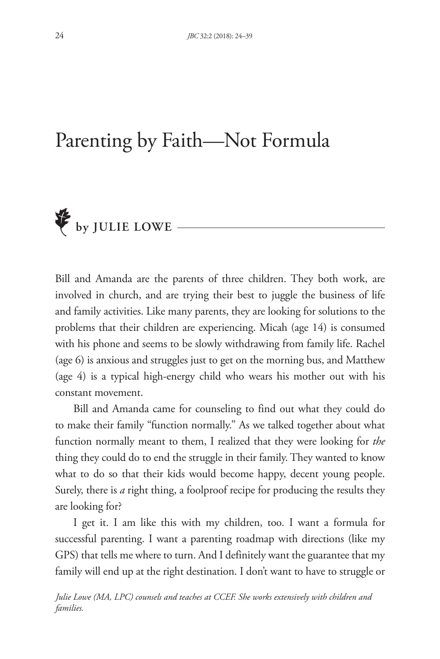# Parenting by Faith—Not Formula



Bill and Amanda are the parents of three children. They both work, are involved in church, and are trying their best to juggle the business of life and family activities. Like many parents, they are looking for solutions to the problems that their children are experiencing. Micah (age 14) is consumed with his phone and seems to be slowly withdrawing from family life. Rachel (age 6) is anxious and struggles just to get on the morning bus, and Matthew (age 4) is a typical high-energy child who wears his mother out with his constant movement.

Bill and Amanda came for counseling to find out what they could do to make their family "function normally." As we talked together about what function normally meant to them, I realized that they were looking for *the* thing they could do to end the struggle in their family. They wanted to know what to do so that their kids would become happy, decent young people. Surely, there is *a* right thing, a foolproof recipe for producing the results they are looking for?

I get it. I am like this with my children, too. I want a formula for successful parenting. I want a parenting roadmap with directions (like my GPS) that tells me where to turn. And I definitely want the guarantee that my family will end up at the right destination. I don't want to have to struggle or

*Julie Lowe (MA, LPC) counsels and teaches at CCEF. She works extensively with children and families.*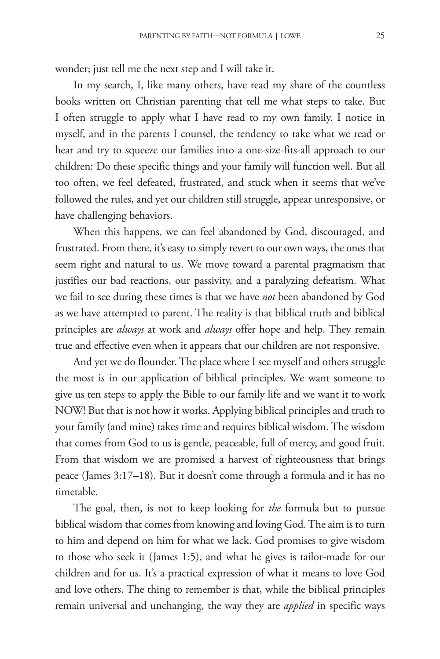wonder; just tell me the next step and I will take it.

In my search, I, like many others, have read my share of the countless books written on Christian parenting that tell me what steps to take. But I often struggle to apply what I have read to my own family. I notice in myself, and in the parents I counsel, the tendency to take what we read or hear and try to squeeze our families into a one-size-fits-all approach to our children: Do these specific things and your family will function well. But all too often, we feel defeated, frustrated, and stuck when it seems that we've followed the rules, and yet our children still struggle, appear unresponsive, or have challenging behaviors.

When this happens, we can feel abandoned by God, discouraged, and frustrated. From there, it's easy to simply revert to our own ways, the ones that seem right and natural to us. We move toward a parental pragmatism that justifies our bad reactions, our passivity, and a paralyzing defeatism. What we fail to see during these times is that we have *not* been abandoned by God as we have attempted to parent. The reality is that biblical truth and biblical principles are *always* at work and *always* offer hope and help. They remain true and effective even when it appears that our children are not responsive.

And yet we do flounder. The place where I see myself and others struggle the most is in our application of biblical principles. We want someone to give us ten steps to apply the Bible to our family life and we want it to work NOW! But that is not how it works. Applying biblical principles and truth to your family (and mine) takes time and requires biblical wisdom. The wisdom that comes from God to us is gentle, peaceable, full of mercy, and good fruit. From that wisdom we are promised a harvest of righteousness that brings peace (James 3:17–18). But it doesn't come through a formula and it has no timetable.

The goal, then, is not to keep looking for *the* formula but to pursue biblical wisdom that comes from knowing and loving God. The aim is to turn to him and depend on him for what we lack. God promises to give wisdom to those who seek it (James 1:5), and what he gives is tailor-made for our children and for us. It's a practical expression of what it means to love God and love others. The thing to remember is that, while the biblical principles remain universal and unchanging, the way they are *applied* in specific ways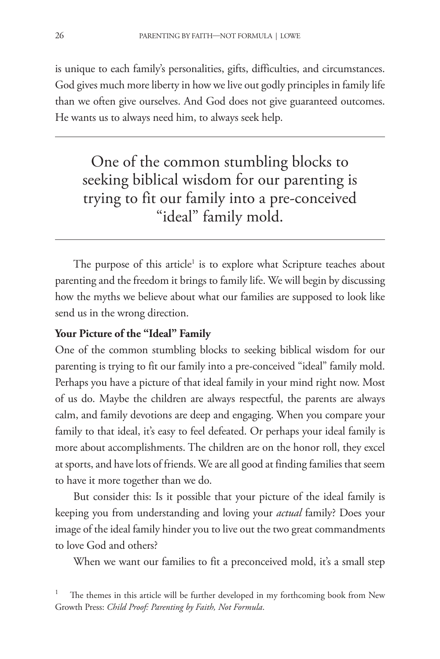is unique to each family's personalities, gifts, difficulties, and circumstances. God gives much more liberty in how we live out godly principles in family life than we often give ourselves. And God does not give guaranteed outcomes. He wants us to always need him, to always seek help.

One of the common stumbling blocks to seeking biblical wisdom for our parenting is trying to fit our family into a pre-conceived "ideal" family mold.

The purpose of this article<sup>1</sup> is to explore what Scripture teaches about parenting and the freedom it brings to family life. We will begin by discussing how the myths we believe about what our families are supposed to look like send us in the wrong direction.

#### **Your Picture of the "Ideal" Family**

One of the common stumbling blocks to seeking biblical wisdom for our parenting is trying to fit our family into a pre-conceived "ideal" family mold. Perhaps you have a picture of that ideal family in your mind right now. Most of us do. Maybe the children are always respectful, the parents are always calm, and family devotions are deep and engaging. When you compare your family to that ideal, it's easy to feel defeated. Or perhaps your ideal family is more about accomplishments. The children are on the honor roll, they excel at sports, and have lots of friends. We are all good at finding families that seem to have it more together than we do.

But consider this: Is it possible that your picture of the ideal family is keeping you from understanding and loving your *actual* family? Does your image of the ideal family hinder you to live out the two great commandments to love God and others?

When we want our families to fit a preconceived mold, it's a small step

The themes in this article will be further developed in my forthcoming book from New Growth Press: *Child Proof: Parenting by Faith, Not Formula*.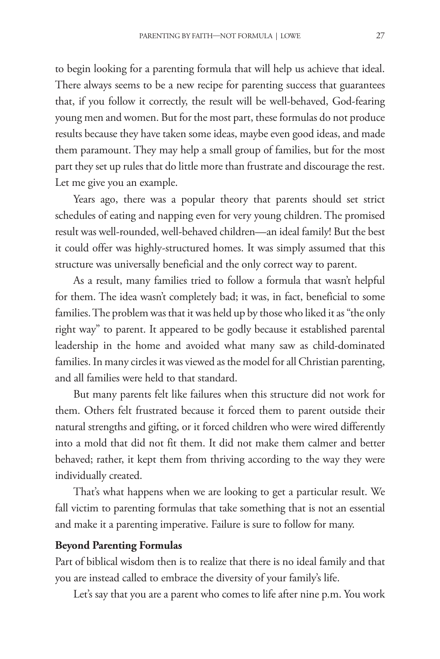to begin looking for a parenting formula that will help us achieve that ideal. There always seems to be a new recipe for parenting success that guarantees that, if you follow it correctly, the result will be well-behaved, God-fearing young men and women. But for the most part, these formulas do not produce results because they have taken some ideas, maybe even good ideas, and made them paramount. They may help a small group of families, but for the most part they set up rules that do little more than frustrate and discourage the rest. Let me give you an example.

Years ago, there was a popular theory that parents should set strict schedules of eating and napping even for very young children. The promised result was well-rounded, well-behaved children—an ideal family! But the best it could offer was highly-structured homes. It was simply assumed that this structure was universally beneficial and the only correct way to parent.

As a result, many families tried to follow a formula that wasn't helpful for them. The idea wasn't completely bad; it was, in fact, beneficial to some families. The problem was that it was held up by those who liked it as "the only right way" to parent. It appeared to be godly because it established parental leadership in the home and avoided what many saw as child-dominated families. In many circles it was viewed as the model for all Christian parenting, and all families were held to that standard.

But many parents felt like failures when this structure did not work for them. Others felt frustrated because it forced them to parent outside their natural strengths and gifting, or it forced children who were wired differently into a mold that did not fit them. It did not make them calmer and better behaved; rather, it kept them from thriving according to the way they were individually created.

That's what happens when we are looking to get a particular result. We fall victim to parenting formulas that take something that is not an essential and make it a parenting imperative. Failure is sure to follow for many.

#### **Beyond Parenting Formulas**

Part of biblical wisdom then is to realize that there is no ideal family and that you are instead called to embrace the diversity of your family's life.

Let's say that you are a parent who comes to life after nine p.m. You work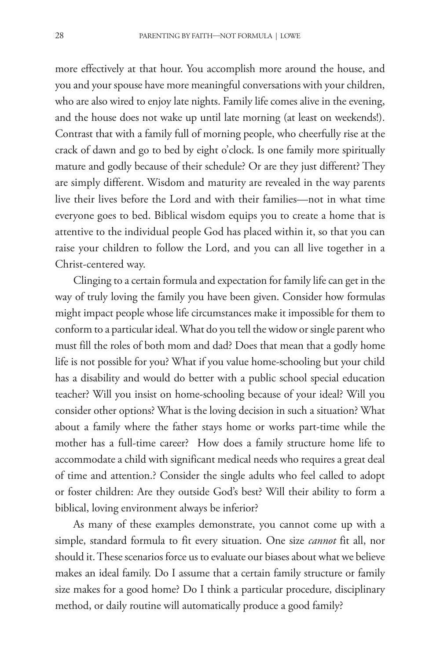more effectively at that hour. You accomplish more around the house, and you and your spouse have more meaningful conversations with your children, who are also wired to enjoy late nights. Family life comes alive in the evening, and the house does not wake up until late morning (at least on weekends!). Contrast that with a family full of morning people, who cheerfully rise at the crack of dawn and go to bed by eight o'clock. Is one family more spiritually mature and godly because of their schedule? Or are they just different? They are simply different. Wisdom and maturity are revealed in the way parents live their lives before the Lord and with their families—not in what time everyone goes to bed. Biblical wisdom equips you to create a home that is attentive to the individual people God has placed within it, so that you can raise your children to follow the Lord, and you can all live together in a Christ-centered way.

Clinging to a certain formula and expectation for family life can get in the way of truly loving the family you have been given. Consider how formulas might impact people whose life circumstances make it impossible for them to conform to a particular ideal. What do you tell the widow or single parent who must fill the roles of both mom and dad? Does that mean that a godly home life is not possible for you? What if you value home-schooling but your child has a disability and would do better with a public school special education teacher? Will you insist on home-schooling because of your ideal? Will you consider other options? What is the loving decision in such a situation? What about a family where the father stays home or works part-time while the mother has a full-time career? How does a family structure home life to accommodate a child with significant medical needs who requires a great deal of time and attention.? Consider the single adults who feel called to adopt or foster children: Are they outside God's best? Will their ability to form a biblical, loving environment always be inferior?

As many of these examples demonstrate, you cannot come up with a simple, standard formula to fit every situation. One size *cannot* fit all, nor should it. These scenarios force us to evaluate our biases about what we believe makes an ideal family. Do I assume that a certain family structure or family size makes for a good home? Do I think a particular procedure, disciplinary method, or daily routine will automatically produce a good family?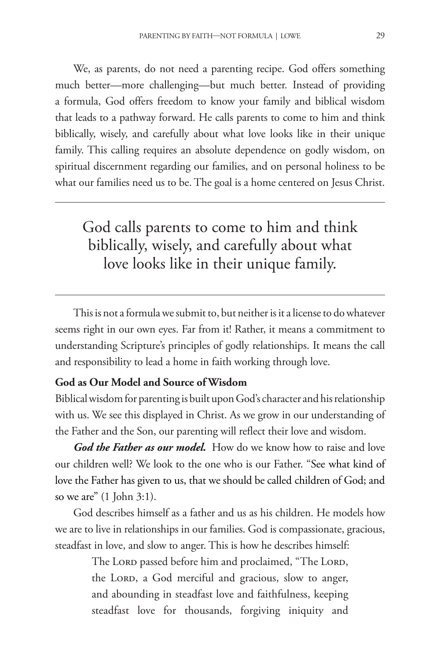We, as parents, do not need a parenting recipe. God offers something much better—more challenging—but much better. Instead of providing a formula, God offers freedom to know your family and biblical wisdom that leads to a pathway forward. He calls parents to come to him and think biblically, wisely, and carefully about what love looks like in their unique family. This calling requires an absolute dependence on godly wisdom, on spiritual discernment regarding our families, and on personal holiness to be what our families need us to be. The goal is a home centered on Jesus Christ.

# God calls parents to come to him and think biblically, wisely, and carefully about what love looks like in their unique family.

This is not a formula we submit to, but neither is it a license to do whatever seems right in our own eyes. Far from it! Rather, it means a commitment to understanding Scripture's principles of godly relationships. It means the call and responsibility to lead a home in faith working through love.

#### **God as Our Model and Source of Wisdom**

Biblical wisdom for parenting is built upon God's character and his relationship with us. We see this displayed in Christ. As we grow in our understanding of the Father and the Son, our parenting will reflect their love and wisdom.

God the Father as our model. How do we know how to raise and love our children well? We look to the one who is our Father. "See what kind of love the Father has given to us, that we should be called children of God; and so we are" (1 John 3:1).

God describes himself as a father and us as his children. He models how we are to live in relationships in our families. God is compassionate, gracious, steadfast in love, and slow to anger. This is how he describes himself:

> The LORD passed before him and proclaimed, "The LORD, the Lord, a God merciful and gracious, slow to anger, and abounding in steadfast love and faithfulness, keeping steadfast love for thousands, forgiving iniquity and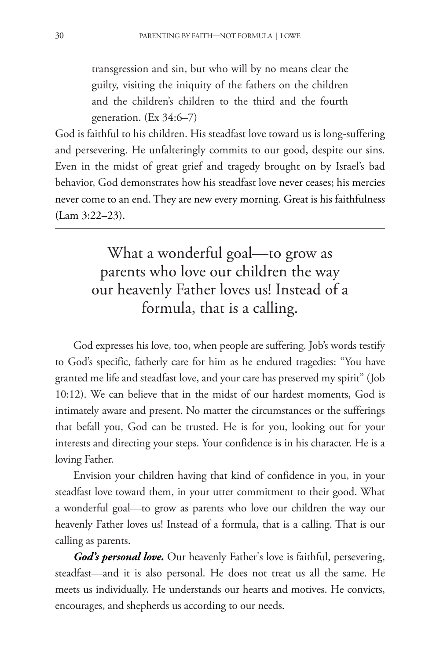transgression and sin, but who will by no means clear the guilty, visiting the iniquity of the fathers on the children and the children's children to the third and the fourth generation.  $(Ex\,34:6-7)$ 

God is faithful to his children. His steadfast love toward us is long-suffering and persevering. He unfalteringly commits to our good, despite our sins. Even in the midst of great grief and tragedy brought on by Israel's bad behavior, God demonstrates how his steadfast love never ceases; his mercies never come to an end. They are new every morning. Great is his faithfulness (Lam 3:22–23).

> What a wonderful goal—to grow as parents who love our children the way our heavenly Father loves us! Instead of a formula, that is a calling.

God expresses his love, too, when people are suffering. Job's words testify to God's specific, fatherly care for him as he endured tragedies: "You have granted me life and steadfast love, and your care has preserved my spirit" (Job 10:12). We can believe that in the midst of our hardest moments, God is intimately aware and present. No matter the circumstances or the sufferings that befall you, God can be trusted. He is for you, looking out for your interests and directing your steps. Your confidence is in his character. He is a loving Father.

Envision your children having that kind of confidence in you, in your steadfast love toward them, in your utter commitment to their good. What a wonderful goal—to grow as parents who love our children the way our heavenly Father loves us! Instead of a formula, that is a calling. That is our calling as parents.

*God's personal love***.** Our heavenly Father's love is faithful, persevering, steadfast—and it is also personal. He does not treat us all the same. He meets us individually. He understands our hearts and motives. He convicts, encourages, and shepherds us according to our needs.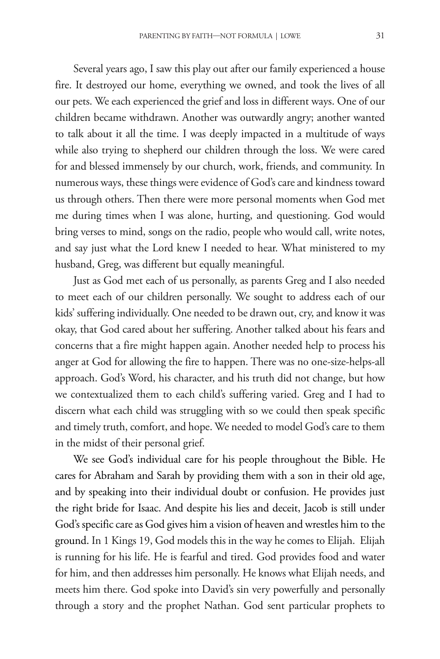Several years ago, I saw this play out after our family experienced a house fire. It destroyed our home, everything we owned, and took the lives of all our pets. We each experienced the grief and loss in different ways. One of our children became withdrawn. Another was outwardly angry; another wanted to talk about it all the time. I was deeply impacted in a multitude of ways while also trying to shepherd our children through the loss. We were cared for and blessed immensely by our church, work, friends, and community. In numerous ways, these things were evidence of God's care and kindness toward us through others. Then there were more personal moments when God met me during times when I was alone, hurting, and questioning. God would bring verses to mind, songs on the radio, people who would call, write notes, and say just what the Lord knew I needed to hear. What ministered to my husband, Greg, was different but equally meaningful.

Just as God met each of us personally, as parents Greg and I also needed to meet each of our children personally. We sought to address each of our kids' suffering individually. One needed to be drawn out, cry, and know it was okay, that God cared about her suffering. Another talked about his fears and concerns that a fire might happen again. Another needed help to process his anger at God for allowing the fire to happen. There was no one-size-helps-all approach. God's Word, his character, and his truth did not change, but how we contextualized them to each child's suffering varied. Greg and I had to discern what each child was struggling with so we could then speak specific and timely truth, comfort, and hope. We needed to model God's care to them in the midst of their personal grief.

We see God's individual care for his people throughout the Bible. He cares for Abraham and Sarah by providing them with a son in their old age, and by speaking into their individual doubt or confusion. He provides just the right bride for Isaac. And despite his lies and deceit, Jacob is still under God's specific care as God gives him a vision of heaven and wrestles him to the ground. In 1 Kings 19, God models this in the way he comes to Elijah. Elijah is running for his life. He is fearful and tired. God provides food and water for him, and then addresses him personally. He knows what Elijah needs, and meets him there. God spoke into David's sin very powerfully and personally through a story and the prophet Nathan. God sent particular prophets to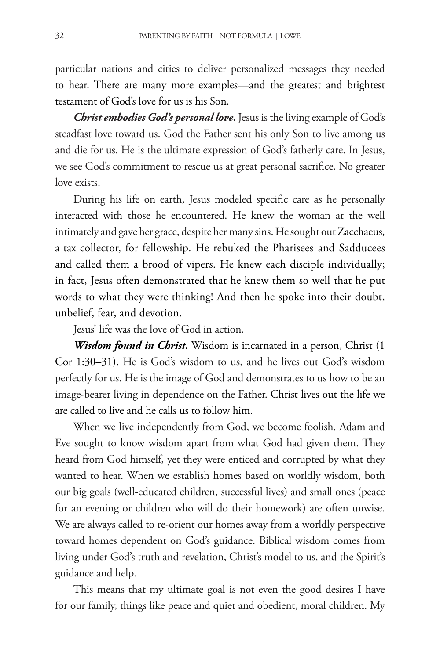particular nations and cities to deliver personalized messages they needed to hear. There are many more examples—and the greatest and brightest testament of God's love for us is his Son.

*Christ embodies God's personal love***.** Jesus is the living example of God's steadfast love toward us. God the Father sent his only Son to live among us and die for us. He is the ultimate expression of God's fatherly care. In Jesus, we see God's commitment to rescue us at great personal sacrifice. No greater love exists.

During his life on earth, Jesus modeled specific care as he personally interacted with those he encountered. He knew the woman at the well intimately and gave her grace, despite her many sins. He sought out Zacchaeus, a tax collector, for fellowship. He rebuked the Pharisees and Sadducees and called them a brood of vipers. He knew each disciple individually; in fact, Jesus often demonstrated that he knew them so well that he put words to what they were thinking! And then he spoke into their doubt, unbelief, fear, and devotion.

Jesus' life was the love of God in action.

*Wisdom found in Christ***.** Wisdom is incarnated in a person, Christ (1 Cor 1:30–31). He is God's wisdom to us, and he lives out God's wisdom perfectly for us. He is the image of God and demonstrates to us how to be an image-bearer living in dependence on the Father. Christ lives out the life we are called to live and he calls us to follow him.

When we live independently from God, we become foolish. Adam and Eve sought to know wisdom apart from what God had given them. They heard from God himself, yet they were enticed and corrupted by what they wanted to hear. When we establish homes based on worldly wisdom, both our big goals (well-educated children, successful lives) and small ones (peace for an evening or children who will do their homework) are often unwise. We are always called to re-orient our homes away from a worldly perspective toward homes dependent on God's guidance. Biblical wisdom comes from living under God's truth and revelation, Christ's model to us, and the Spirit's guidance and help.

This means that my ultimate goal is not even the good desires I have for our family, things like peace and quiet and obedient, moral children. My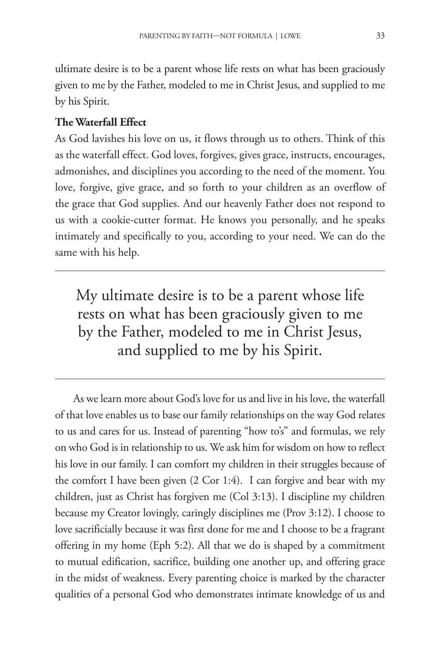ultimate desire is to be a parent whose life rests on what has been graciously given to me by the Father, modeled to me in Christ Jesus, and supplied to me by his Spirit.

#### **The Waterfall Effect**

As God lavishes his love on us, it flows through us to others. Think of this as the waterfall effect. God loves, forgives, gives grace, instructs, encourages, admonishes, and disciplines you according to the need of the moment. You love, forgive, give grace, and so forth to your children as an overflow of the grace that God supplies. And our heavenly Father does not respond to us with a cookie-cutter format. He knows you personally, and he speaks intimately and specifically to you, according to your need. We can do the same with his help.

My ultimate desire is to be a parent whose life rests on what has been graciously given to me by the Father, modeled to me in Christ Jesus, and supplied to me by his Spirit.

As we learn more about God's love for us and live in his love, the waterfall of that love enables us to base our family relationships on the way God relates to us and cares for us. Instead of parenting "how to's" and formulas, we rely on who God is in relationship to us. We ask him for wisdom on how to reflect his love in our family. I can comfort my children in their struggles because of the comfort I have been given (2 Cor 1:4). I can forgive and bear with my children, just as Christ has forgiven me (Col 3:13). I discipline my children because my Creator lovingly, caringly disciplines me (Prov 3:12). I choose to love sacrificially because it was first done for me and I choose to be a fragrant offering in my home (Eph 5:2). All that we do is shaped by a commitment to mutual edification, sacrifice, building one another up, and offering grace in the midst of weakness. Every parenting choice is marked by the character qualities of a personal God who demonstrates intimate knowledge of us and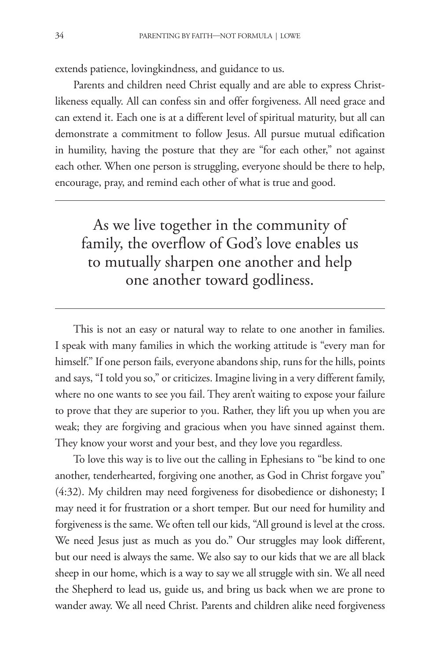extends patience, lovingkindness, and guidance to us.

Parents and children need Christ equally and are able to express Christlikeness equally. All can confess sin and offer forgiveness. All need grace and can extend it. Each one is at a different level of spiritual maturity, but all can demonstrate a commitment to follow Jesus. All pursue mutual edification in humility, having the posture that they are "for each other," not against each other. When one person is struggling, everyone should be there to help, encourage, pray, and remind each other of what is true and good.

As we live together in the community of family, the overflow of God's love enables us to mutually sharpen one another and help one another toward godliness.

This is not an easy or natural way to relate to one another in families. I speak with many families in which the working attitude is "every man for himself." If one person fails, everyone abandons ship, runs for the hills, points and says, "I told you so," or criticizes. Imagine living in a very different family, where no one wants to see you fail. They aren't waiting to expose your failure to prove that they are superior to you. Rather, they lift you up when you are weak; they are forgiving and gracious when you have sinned against them. They know your worst and your best, and they love you regardless.

To love this way is to live out the calling in Ephesians to "be kind to one another, tenderhearted, forgiving one another, as God in Christ forgave you" (4:32). My children may need forgiveness for disobedience or dishonesty; I may need it for frustration or a short temper. But our need for humility and forgiveness is the same. We often tell our kids, "All ground is level at the cross. We need Jesus just as much as you do." Our struggles may look different, but our need is always the same. We also say to our kids that we are all black sheep in our home, which is a way to say we all struggle with sin. We all need the Shepherd to lead us, guide us, and bring us back when we are prone to wander away. We all need Christ. Parents and children alike need forgiveness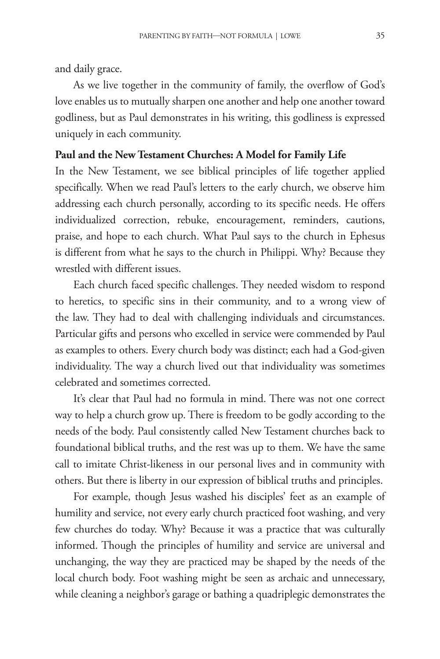and daily grace.

As we live together in the community of family, the overflow of God's love enables us to mutually sharpen one another and help one another toward godliness, but as Paul demonstrates in his writing, this godliness is expressed uniquely in each community.

#### **Paul and the New Testament Churches: A Model for Family Life**

In the New Testament, we see biblical principles of life together applied specifically. When we read Paul's letters to the early church, we observe him addressing each church personally, according to its specific needs. He offers individualized correction, rebuke, encouragement, reminders, cautions, praise, and hope to each church. What Paul says to the church in Ephesus is different from what he says to the church in Philippi. Why? Because they wrestled with different issues.

Each church faced specific challenges. They needed wisdom to respond to heretics, to specific sins in their community, and to a wrong view of the law. They had to deal with challenging individuals and circumstances. Particular gifts and persons who excelled in service were commended by Paul as examples to others. Every church body was distinct; each had a God-given individuality. The way a church lived out that individuality was sometimes celebrated and sometimes corrected.

It's clear that Paul had no formula in mind. There was not one correct way to help a church grow up. There is freedom to be godly according to the needs of the body. Paul consistently called New Testament churches back to foundational biblical truths, and the rest was up to them. We have the same call to imitate Christ-likeness in our personal lives and in community with others. But there is liberty in our expression of biblical truths and principles.

For example, though Jesus washed his disciples' feet as an example of humility and service, not every early church practiced foot washing, and very few churches do today. Why? Because it was a practice that was culturally informed. Though the principles of humility and service are universal and unchanging, the way they are practiced may be shaped by the needs of the local church body. Foot washing might be seen as archaic and unnecessary, while cleaning a neighbor's garage or bathing a quadriplegic demonstrates the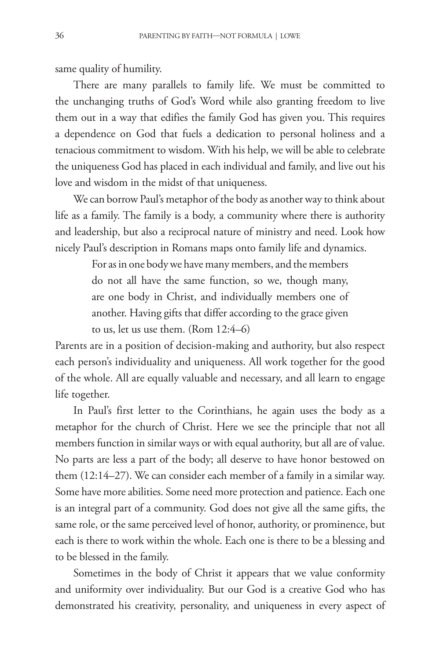same quality of humility.

There are many parallels to family life. We must be committed to the unchanging truths of God's Word while also granting freedom to live them out in a way that edifies the family God has given you. This requires a dependence on God that fuels a dedication to personal holiness and a tenacious commitment to wisdom. With his help, we will be able to celebrate the uniqueness God has placed in each individual and family, and live out his love and wisdom in the midst of that uniqueness.

We can borrow Paul's metaphor of the body as another way to think about life as a family. The family is a body, a community where there is authority and leadership, but also a reciprocal nature of ministry and need. Look how nicely Paul's description in Romans maps onto family life and dynamics.

> For as in one body we have many members, and the members do not all have the same function, so we, though many, are one body in Christ, and individually members one of another. Having gifts that differ according to the grace given to us, let us use them. (Rom 12:4–6)

Parents are in a position of decision-making and authority, but also respect each person's individuality and uniqueness. All work together for the good of the whole. All are equally valuable and necessary, and all learn to engage life together.

In Paul's first letter to the Corinthians, he again uses the body as a metaphor for the church of Christ. Here we see the principle that not all members function in similar ways or with equal authority, but all are of value. No parts are less a part of the body; all deserve to have honor bestowed on them (12:14–27). We can consider each member of a family in a similar way. Some have more abilities. Some need more protection and patience. Each one is an integral part of a community. God does not give all the same gifts, the same role, or the same perceived level of honor, authority, or prominence, but each is there to work within the whole. Each one is there to be a blessing and to be blessed in the family.

Sometimes in the body of Christ it appears that we value conformity and uniformity over individuality. But our God is a creative God who has demonstrated his creativity, personality, and uniqueness in every aspect of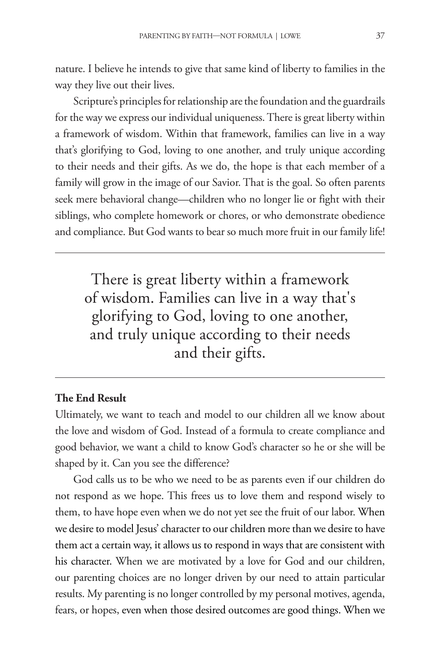nature. I believe he intends to give that same kind of liberty to families in the way they live out their lives.

Scripture's principles for relationship are the foundation and the guardrails for the way we express our individual uniqueness. There is great liberty within a framework of wisdom. Within that framework, families can live in a way that's glorifying to God, loving to one another, and truly unique according to their needs and their gifts. As we do, the hope is that each member of a family will grow in the image of our Savior. That is the goal. So often parents seek mere behavioral change—children who no longer lie or fight with their siblings, who complete homework or chores, or who demonstrate obedience and compliance. But God wants to bear so much more fruit in our family life!

There is great liberty within a framework of wisdom. Families can live in a way that's glorifying to God, loving to one another, and truly unique according to their needs and their gifts.

#### **The End Result**

Ultimately, we want to teach and model to our children all we know about the love and wisdom of God. Instead of a formula to create compliance and good behavior, we want a child to know God's character so he or she will be shaped by it. Can you see the difference?

God calls us to be who we need to be as parents even if our children do not respond as we hope. This frees us to love them and respond wisely to them, to have hope even when we do not yet see the fruit of our labor. When we desire to model Jesus' character to our children more than we desire to have them act a certain way, it allows us to respond in ways that are consistent with his character. When we are motivated by a love for God and our children, our parenting choices are no longer driven by our need to attain particular results. My parenting is no longer controlled by my personal motives, agenda, fears, or hopes, even when those desired outcomes are good things. When we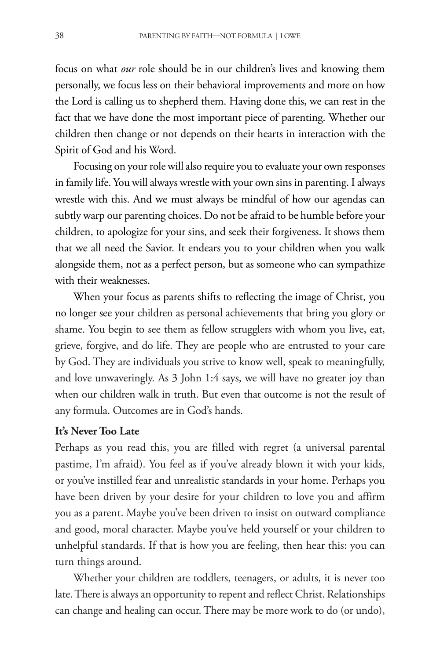focus on what *our* role should be in our children's lives and knowing them personally, we focus less on their behavioral improvements and more on how the Lord is calling us to shepherd them. Having done this, we can rest in the fact that we have done the most important piece of parenting. Whether our children then change or not depends on their hearts in interaction with the Spirit of God and his Word.

Focusing on your role will also require you to evaluate your own responses in family life. You will always wrestle with your own sins in parenting. I always wrestle with this. And we must always be mindful of how our agendas can subtly warp our parenting choices. Do not be afraid to be humble before your children, to apologize for your sins, and seek their forgiveness. It shows them that we all need the Savior. It endears you to your children when you walk alongside them, not as a perfect person, but as someone who can sympathize with their weaknesses.

When your focus as parents shifts to reflecting the image of Christ, you no longer see your children as personal achievements that bring you glory or shame. You begin to see them as fellow strugglers with whom you live, eat, grieve, forgive, and do life. They are people who are entrusted to your care by God. They are individuals you strive to know well, speak to meaningfully, and love unwaveringly. As 3 John 1:4 says, we will have no greater joy than when our children walk in truth. But even that outcome is not the result of any formula. Outcomes are in God's hands.

#### **It's Never Too Late**

Perhaps as you read this, you are filled with regret (a universal parental pastime, I'm afraid). You feel as if you've already blown it with your kids, or you've instilled fear and unrealistic standards in your home. Perhaps you have been driven by your desire for your children to love you and affirm you as a parent. Maybe you've been driven to insist on outward compliance and good, moral character. Maybe you've held yourself or your children to unhelpful standards. If that is how you are feeling, then hear this: you can turn things around.

Whether your children are toddlers, teenagers, or adults, it is never too late. There is always an opportunity to repent and reflect Christ. Relationships can change and healing can occur. There may be more work to do (or undo),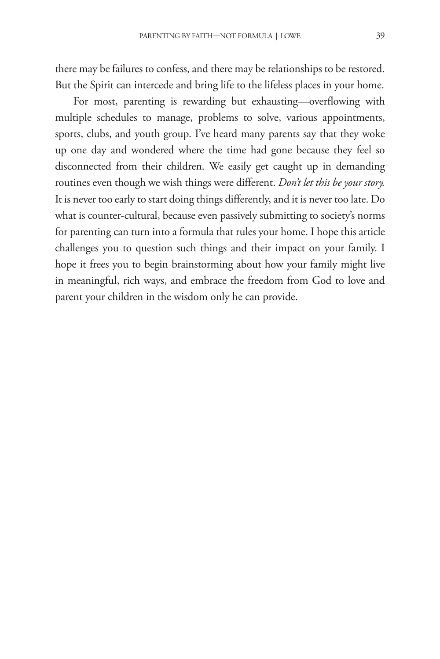there may be failures to confess, and there may be relationships to be restored. But the Spirit can intercede and bring life to the lifeless places in your home.

For most, parenting is rewarding but exhausting—overflowing with multiple schedules to manage, problems to solve, various appointments, sports, clubs, and youth group. I've heard many parents say that they woke up one day and wondered where the time had gone because they feel so disconnected from their children. We easily get caught up in demanding routines even though we wish things were different. *Don't let this be your story.* It is never too early to start doing things differently, and it is never too late. Do what is counter-cultural, because even passively submitting to society's norms for parenting can turn into a formula that rules your home. I hope this article challenges you to question such things and their impact on your family. I hope it frees you to begin brainstorming about how your family might live in meaningful, rich ways, and embrace the freedom from God to love and parent your children in the wisdom only he can provide.